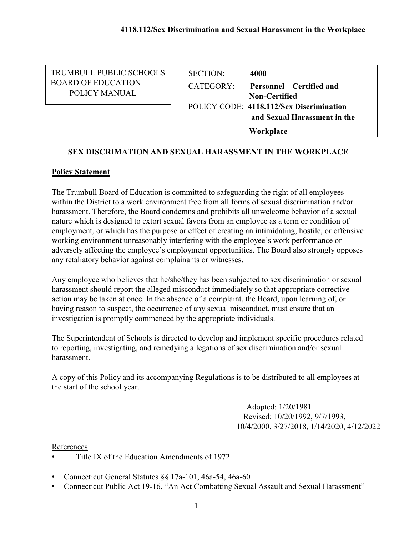TRUMBULL PUBLIC SCHOOLS BOARD OF EDUCATION POLICY MANUAL

SECTION: **4000** CATEGORY: **Personnel – Certified and Non-Certified**  POLICY CODE: **4118.112/Sex Discrimination and Sexual Harassment in the Workplace** 

# **SEX DISCRIMATION AND SEXUAL HARASSMENT IN THE WORKPLACE**

# **Policy Statement**

The Trumbull Board of Education is committed to safeguarding the right of all employees within the District to a work environment free from all forms of sexual discrimination and/or harassment. Therefore, the Board condemns and prohibits all unwelcome behavior of a sexual nature which is designed to extort sexual favors from an employee as a term or condition of employment, or which has the purpose or effect of creating an intimidating, hostile, or offensive working environment unreasonably interfering with the employee's work performance or adversely affecting the employee's employment opportunities. The Board also strongly opposes any retaliatory behavior against complainants or witnesses.

Any employee who believes that he/she/they has been subjected to sex discrimination or sexual harassment should report the alleged misconduct immediately so that appropriate corrective action may be taken at once. In the absence of a complaint, the Board, upon learning of, or having reason to suspect, the occurrence of any sexual misconduct, must ensure that an investigation is promptly commenced by the appropriate individuals.

The Superintendent of Schools is directed to develop and implement specific procedures related to reporting, investigating, and remedying allegations of sex discrimination and/or sexual harassment.

A copy of this Policy and its accompanying Regulations is to be distributed to all employees at the start of the school year.

> Adopted: 1/20/1981 Revised: 10/20/1992, 9/7/1993, 10/4/2000, 3/27/2018, 1/14/2020, 4/12/2022

### References

- Title IX of the Education Amendments of 1972
- Connecticut General Statutes §§ 17a-101, 46a-54, 46a-60
- Connecticut Public Act 19-16, "An Act Combatting Sexual Assault and Sexual Harassment"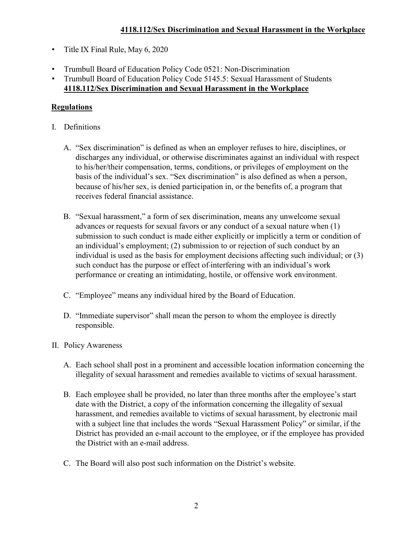- Title IX Final Rule, May 6, 2020
- Trumbull Board of Education Policy Code 0521: Non-Discrimination
- Trumbull Board of Education Policy Code 5145.5: Sexual Harassment of Students **4118.112/Sex Discrimination and Sexual Harassment in the Workplace**

# **Regulations**

- I. Definitions
	- A. "Sex discrimination" is defined as when an employer refuses to hire, disciplines, or discharges any individual, or otherwise discriminates against an individual with respect to his/her/their compensation, terms, conditions, or privileges of employment on the basis of the individual's sex. "Sex discrimination" is also defined as when a person, because of his/her sex, is denied participation in, or the benefits of, a program that receives federal financial assistance.
	- B. "Sexual harassment," a form of sex discrimination, means any unwelcome sexual advances or requests for sexual favors or any conduct of a sexual nature when (1) submission to such conduct is made either explicitly or implicitly a term or condition of an individual's employment; (2) submission to or rejection of such conduct by an individual is used as the basis for employment decisions affecting such individual; or (3) such conduct has the purpose or effect of interfering with an individual's work performance or creating an intimidating, hostile, or offensive work environment.
	- C. "Employee" means any individual hired by the Board of Education.
	- D. "Immediate supervisor" shall mean the person to whom the employee is directly responsible.
- II. Policy Awareness
	- A. Each school shall post in a prominent and accessible location information concerning the illegality of sexual harassment and remedies available to victims of sexual harassment.
	- B. Each employee shall be provided, no later than three months after the employee's start date with the District, a copy of the information concerning the illegality of sexual harassment, and remedies available to victims of sexual harassment, by electronic mail with a subject line that includes the words "Sexual Harassment Policy" or similar, if the District has provided an e-mail account to the employee, or if the employee has provided the District with an e-mail address.
	- C. The Board will also post such information on the District's website.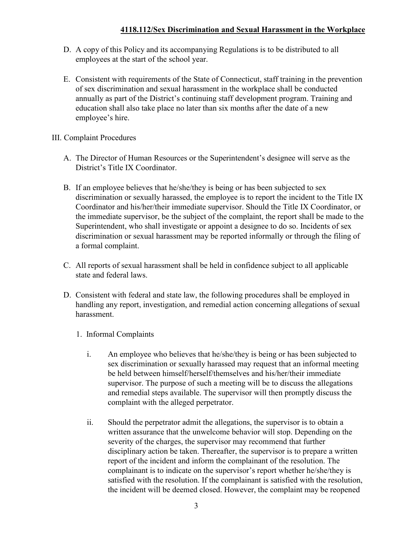- D. A copy of this Policy and its accompanying Regulations is to be distributed to all employees at the start of the school year.
- E. Consistent with requirements of the State of Connecticut, staff training in the prevention of sex discrimination and sexual harassment in the workplace shall be conducted annually as part of the District's continuing staff development program. Training and education shall also take place no later than six months after the date of a new employee's hire.

# III. Complaint Procedures

- A. The Director of Human Resources or the Superintendent's designee will serve as the District's Title IX Coordinator.
- B. If an employee believes that he/she/they is being or has been subjected to sex discrimination or sexually harassed, the employee is to report the incident to the Title IX Coordinator and his/her/their immediate supervisor. Should the Title IX Coordinator, or the immediate supervisor, be the subject of the complaint, the report shall be made to the Superintendent, who shall investigate or appoint a designee to do so. Incidents of sex discrimination or sexual harassment may be reported informally or through the filing of a formal complaint.
- C. All reports of sexual harassment shall be held in confidence subject to all applicable state and federal laws.
- D. Consistent with federal and state law, the following procedures shall be employed in handling any report, investigation, and remedial action concerning allegations of sexual harassment.
	- 1. Informal Complaints
		- i. An employee who believes that he/she/they is being or has been subjected to sex discrimination or sexually harassed may request that an informal meeting be held between himself/herself/themselves and his/her/their immediate supervisor. The purpose of such a meeting will be to discuss the allegations and remedial steps available. The supervisor will then promptly discuss the complaint with the alleged perpetrator.
		- ii. Should the perpetrator admit the allegations, the supervisor is to obtain a written assurance that the unwelcome behavior will stop. Depending on the severity of the charges, the supervisor may recommend that further disciplinary action be taken. Thereafter, the supervisor is to prepare a written report of the incident and inform the complainant of the resolution. The complainant is to indicate on the supervisor's report whether he/she/they is satisfied with the resolution. If the complainant is satisfied with the resolution, the incident will be deemed closed. However, the complaint may be reopened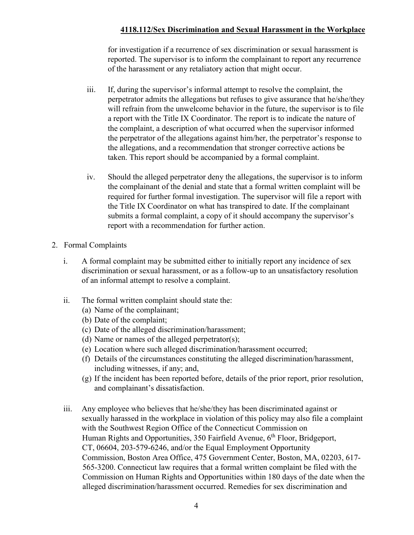for investigation if a recurrence of sex discrimination or sexual harassment is reported. The supervisor is to inform the complainant to report any recurrence of the harassment or any retaliatory action that might occur.

- iii. If, during the supervisor's informal attempt to resolve the complaint, the perpetrator admits the allegations but refuses to give assurance that he/she/they will refrain from the unwelcome behavior in the future, the supervisor is to file a report with the Title IX Coordinator. The report is to indicate the nature of the complaint, a description of what occurred when the supervisor informed the perpetrator of the allegations against him/her, the perpetrator's response to the allegations, and a recommendation that stronger corrective actions be taken. This report should be accompanied by a formal complaint.
- iv. Should the alleged perpetrator deny the allegations, the supervisor is to inform the complainant of the denial and state that a formal written complaint will be required for further formal investigation. The supervisor will file a report with the Title IX Coordinator on what has transpired to date. If the complainant submits a formal complaint, a copy of it should accompany the supervisor's report with a recommendation for further action.
- 2. Formal Complaints
	- i. A formal complaint may be submitted either to initially report any incidence of sex discrimination or sexual harassment, or as a follow-up to an unsatisfactory resolution of an informal attempt to resolve a complaint.
	- ii. The formal written complaint should state the:
		- (a) Name of the complainant;
		- (b) Date of the complaint;
		- (c) Date of the alleged discrimination/harassment;
		- (d) Name or names of the alleged perpetrator(s);
		- (e) Location where such alleged discrimination/harassment occurred;
		- (f) Details of the circumstances constituting the alleged discrimination/harassment, including witnesses, if any; and,
		- (g) If the incident has been reported before, details of the prior report, prior resolution, and complainant's dissatisfaction.
	- iii. Any employee who believes that he/she/they has been discriminated against or sexually harassed in the workplace in violation of this policy may also file a complaint with the Southwest Region Office of the Connecticut Commission on Human Rights and Opportunities, 350 Fairfield Avenue, 6<sup>th</sup> Floor, Bridgeport, CT, 06604, 203-579-6246, and/or the Equal Employment Opportunity Commission, Boston Area Office, 475 Government Center, Boston, MA, 02203, 617- 565-3200. Connecticut law requires that a formal written complaint be filed with the Commission on Human Rights and Opportunities within 180 days of the date when the alleged discrimination/harassment occurred. Remedies for sex discrimination and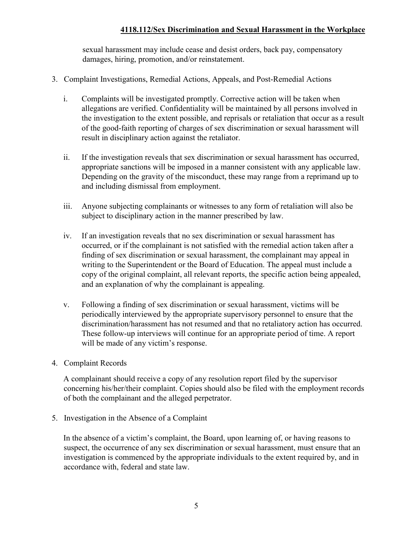sexual harassment may include cease and desist orders, back pay, compensatory damages, hiring, promotion, and/or reinstatement.

- 3. Complaint Investigations, Remedial Actions, Appeals, and Post-Remedial Actions
	- i. Complaints will be investigated promptly. Corrective action will be taken when allegations are verified. Confidentiality will be maintained by all persons involved in the investigation to the extent possible, and reprisals or retaliation that occur as a result of the good-faith reporting of charges of sex discrimination or sexual harassment will result in disciplinary action against the retaliator.
	- ii. If the investigation reveals that sex discrimination or sexual harassment has occurred, appropriate sanctions will be imposed in a manner consistent with any applicable law. Depending on the gravity of the misconduct, these may range from a reprimand up to and including dismissal from employment.
	- iii. Anyone subjecting complainants or witnesses to any form of retaliation will also be subject to disciplinary action in the manner prescribed by law.
	- iv. If an investigation reveals that no sex discrimination or sexual harassment has occurred, or if the complainant is not satisfied with the remedial action taken after a finding of sex discrimination or sexual harassment, the complainant may appeal in writing to the Superintendent or the Board of Education. The appeal must include a copy of the original complaint, all relevant reports, the specific action being appealed, and an explanation of why the complainant is appealing.
	- v. Following a finding of sex discrimination or sexual harassment, victims will be periodically interviewed by the appropriate supervisory personnel to ensure that the discrimination/harassment has not resumed and that no retaliatory action has occurred. These follow-up interviews will continue for an appropriate period of time. A report will be made of any victim's response.
- 4. Complaint Records

A complainant should receive a copy of any resolution report filed by the supervisor concerning his/her/their complaint. Copies should also be filed with the employment records of both the complainant and the alleged perpetrator.

5. Investigation in the Absence of a Complaint

In the absence of a victim's complaint, the Board, upon learning of, or having reasons to suspect, the occurrence of any sex discrimination or sexual harassment, must ensure that an investigation is commenced by the appropriate individuals to the extent required by, and in accordance with, federal and state law.